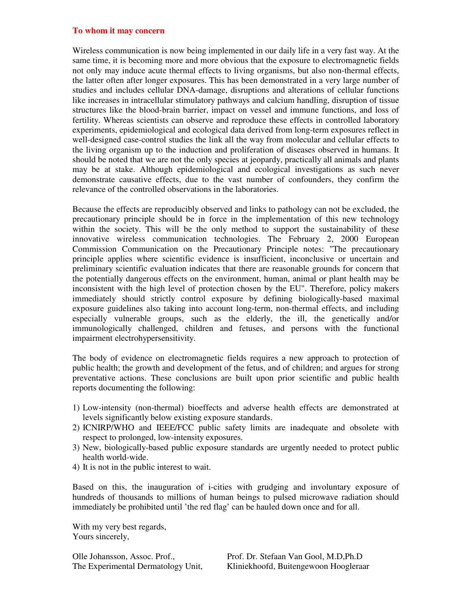## **To whom it may concern**

Wireless communication is now being implemented in our daily life in a very fast way. At the same time, it is becoming more and more obvious that the exposure to electromagnetic fields not only may induce acute thermal effects to living organisms, but also non-thermal effects, the latter often after longer exposures. This has been demonstrated in a very large number of studies and includes cellular DNA-damage, disruptions and alterations of cellular functions like increases in intracellular stimulatory pathways and calcium handling, disruption of tissue structures like the blood-brain barrier, impact on vessel and immune functions, and loss of fertility. Whereas scientists can observe and reproduce these effects in controlled laboratory experiments, epidemiological and ecological data derived from long-term exposures reflect in well-designed case-control studies the link all the way from molecular and cellular effects to the living organism up to the induction and proliferation of diseases observed in humans. It should be noted that we are not the only species at jeopardy, practically all animals and plants may be at stake. Although epidemiological and ecological investigations as such never demonstrate causative effects, due to the vast number of confounders, they confirm the relevance of the controlled observations in the laboratories.

Because the effects are reproducibly observed and links to pathology can not be excluded, the precautionary principle should be in force in the implementation of this new technology within the society. This will be the only method to support the sustainability of these innovative wireless communication technologies. The February 2, 2000 European Commission Communication on the Precautionary Principle notes: "The precautionary principle applies where scientific evidence is insufficient, inconclusive or uncertain and preliminary scientific evaluation indicates that there are reasonable grounds for concern that the potentially dangerous effects on the environment, human, animal or plant health may be inconsistent with the high level of protection chosen by the EU". Therefore, policy makers immediately should strictly control exposure by defining biologically-based maximal exposure guidelines also taking into account long-term, non-thermal effects, and including especially vulnerable groups, such as the elderly, the ill, the genetically and/or immunologically challenged, children and fetuses, and persons with the functional impairment electrohypersensitivity.

The body of evidence on electromagnetic fields requires a new approach to protection of public health; the growth and development of the fetus, and of children; and argues for strong preventative actions. These conclusions are built upon prior scientific and public health reports documenting the following:

- 1) Low-intensity (non-thermal) bioeffects and adverse health effects are demonstrated at levels significantly below existing exposure standards.
- 2) ICNIRP/WHO and IEEE/FCC public safety limits are inadequate and obsolete with respect to prolonged, low-intensity exposures.
- 3) New, biologically-based public exposure standards are urgently needed to protect public health world-wide.
- 4) It is not in the public interest to wait.

Based on this, the inauguration of i-cities with grudging and involuntary exposure of hundreds of thousands to millions of human beings to pulsed microwave radiation should immediately be prohibited until 'the red flag' can be hauled down once and for all.

With my very best regards, Yours sincerely,

Olle Johansson, Assoc. Prof., Prof. Dr. Stefaan Van Gool, M.D,Ph.D The Experimental Dermatology Unit, Kliniekhoofd, Buitengewoon Hoogleraar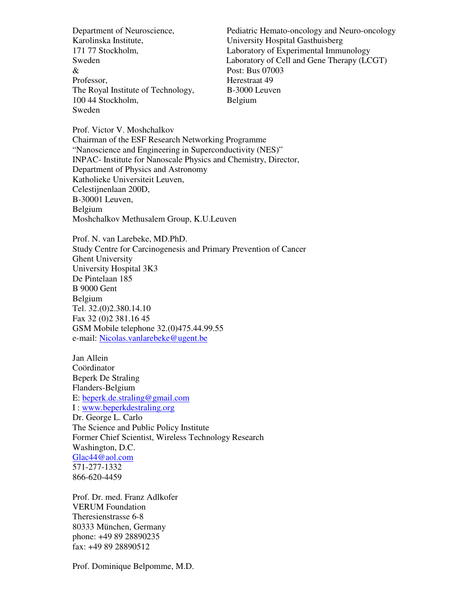Karolinska Institute, University Hospital Gasthuisberg & Post: Bus 07003 Professor, Herestraat 49 The Royal Institute of Technology, B-3000 Leuven 100 44 Stockholm, Belgium Sweden

Department of Neuroscience, Pediatric Hemato-oncology and Neuro-oncology 171 77 Stockholm, Laboratory of Experimental Immunology Sweden Laboratory of Cell and Gene Therapy (LCGT)

Prof. Victor V. Moshchalkov Chairman of the ESF Research Networking Programme "Nanoscience and Engineering in Superconductivity (NES)" INPAC- Institute for Nanoscale Physics and Chemistry, Director, Department of Physics and Astronomy Katholieke Universiteit Leuven, Celestijnenlaan 200D, B-30001 Leuven, Belgium Moshchalkov Methusalem Group, K.U.Leuven

Prof. N. van Larebeke, MD.PhD. Study Centre for Carcinogenesis and Primary Prevention of Cancer Ghent University University Hospital 3K3 De Pintelaan 185 B 9000 Gent Belgium Tel. 32.(0)2.380.14.10 Fax 32 (0)2 381.16 45 GSM Mobile telephone 32.(0)475.44.99.55 e-mail: Nicolas.vanlarebeke@ugent.be

Jan Allein Coördinator Beperk De Straling Flanders-Belgium E: beperk.de.straling@gmail.com I : www.beperkdestraling.org Dr. George L. Carlo The Science and Public Policy Institute Former Chief Scientist, Wireless Technology Research Washington, D.C. Glac44@aol.com 571-277-1332 866-620-4459

Prof. Dr. med. Franz Adlkofer VERUM Foundation Theresienstrasse 6-8 80333 München, Germany phone: +49 89 28890235 fax: +49 89 28890512

Prof. Dominique Belpomme, M.D.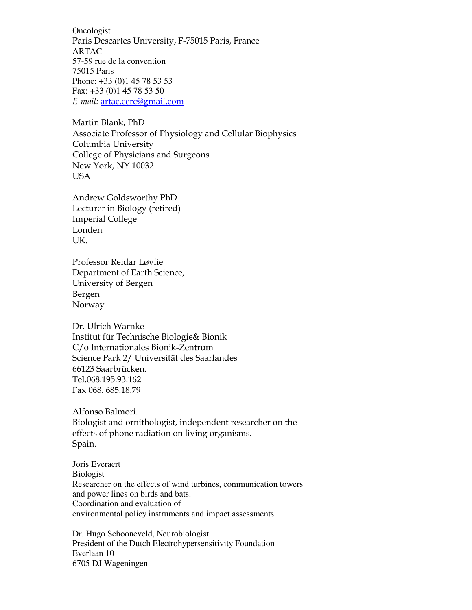Oncologist Paris Descartes University, F-75015 Paris, France ARTAC 57-59 rue de la convention 75015 Paris Phone: +33 (0)1 45 78 53 53 Fax: +33 (0)1 45 78 53 50 E-mail: artac.cerc@gmail.com

Martin Blank, PhD Associate Professor of Physiology and Cellular Biophysics Columbia University College of Physicians and Surgeons New York, NY 10032 USA

Andrew Goldsworthy PhD Lecturer in Biology (retired) Imperial College Londen UK.

Professor Reidar Løvlie Department of Earth Science, University of Bergen Bergen Norway

Dr. Ulrich Warnke Institut für Technische Biologie& Bionik C/o Internationales Bionik-Zentrum Science Park 2/ Universität des Saarlandes 66123 Saarbrücken. Tel.068.195.93.162 Fax 068. 685.18.79

Alfonso Balmori. Biologist and ornithologist, independent researcher on the effects of phone radiation on living organisms. Spain.

Joris Everaert Biologist Researcher on the effects of wind turbines, communication towers and power lines on birds and bats. Coordination and evaluation of environmental policy instruments and impact assessments.

Dr. Hugo Schooneveld, Neurobiologist President of the Dutch Electrohypersensitivity Foundation Everlaan 10 6705 DJ Wageningen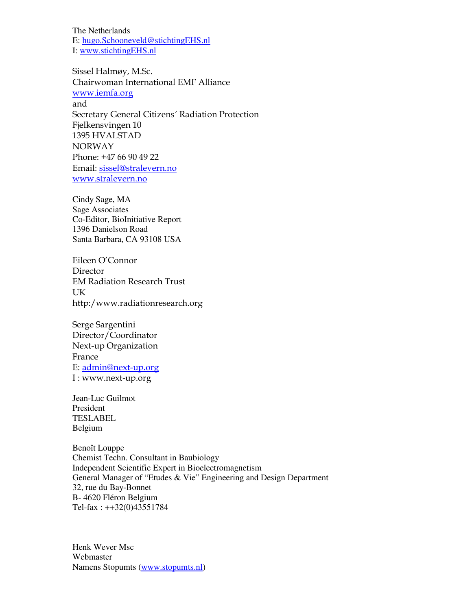The Netherlands E: hugo.Schooneveld@stichtingEHS.nl I: www.stichtingEHS.nl

Sissel Halmøy, M.Sc. Chairwoman International EMF Alliance www.iemfa.org and Secretary General Citizens´ Radiation Protection Fjelkensvingen 10 1395 HVALSTAD NORWAY Phone: +47 66 90 49 22 Email: sissel@stralevern.no www.stralevern.no

Cindy Sage, MA Sage Associates Co-Editor, BioInitiative Report 1396 Danielson Road Santa Barbara, CA 93108 USA

Eileen O'Connor Director EM Radiation Research Trust UK http:/www.radiationresearch.org

Serge Sargentini Director/Coordinator Next-up Organization France E: admin@next-up.org I : www.next-up.org

Jean-Luc Guilmot President TESLABEL Belgium

Benoît Louppe Chemist Techn. Consultant in Baubiology Independent Scientific Expert in Bioelectromagnetism General Manager of "Etudes & Vie" Engineering and Design Department 32, rue du Bay-Bonnet B- 4620 Fléron Belgium Tel-fax : ++32(0)43551784

Henk Wever Msc Webmaster Namens Stopumts (www.stopumts.nl)